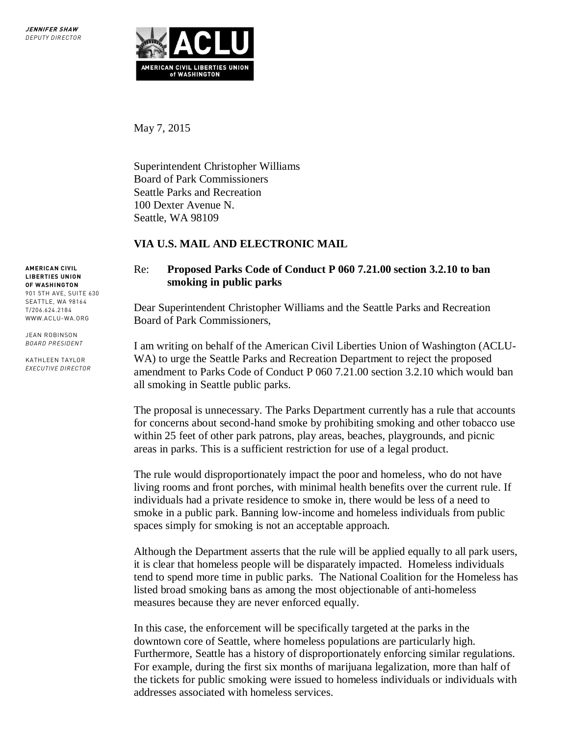

May 7, 2015

Superintendent Christopher Williams Board of Park Commissioners Seattle Parks and Recreation 100 Dexter Avenue N. Seattle, WA 98109

## **VIA U.S. MAIL AND ELECTRONIC MAIL**

## Re: **Proposed Parks Code of Conduct P 060 7.21.00 section 3.2.10 to ban smoking in public parks**

Dear Superintendent Christopher Williams and the Seattle Parks and Recreation Board of Park Commissioners,

I am writing on behalf of the American Civil Liberties Union of Washington (ACLU-WA) to urge the Seattle Parks and Recreation Department to reject the proposed amendment to Parks Code of Conduct P 060 7.21.00 section 3.2.10 which would ban all smoking in Seattle public parks.

The proposal is unnecessary. The Parks Department currently has a rule that accounts for concerns about second-hand smoke by prohibiting smoking and other tobacco use within 25 feet of other park patrons, play areas, beaches, playgrounds, and picnic areas in parks. This is a sufficient restriction for use of a legal product.

The rule would disproportionately impact the poor and homeless, who do not have living rooms and front porches, with minimal health benefits over the current rule. If individuals had a private residence to smoke in, there would be less of a need to smoke in a public park. Banning low-income and homeless individuals from public spaces simply for smoking is not an acceptable approach.

Although the Department asserts that the rule will be applied equally to all park users, it is clear that homeless people will be disparately impacted. Homeless individuals tend to spend more time in public parks. The National Coalition for the Homeless has listed broad smoking bans as among the most objectionable of anti-homeless measures because they are never enforced equally.

In this case, the enforcement will be specifically targeted at the parks in the downtown core of Seattle, where homeless populations are particularly high. Furthermore, Seattle has a history of disproportionately enforcing similar regulations. For example, during the first six months of marijuana legalization, more than half of the tickets for public smoking were issued to homeless individuals or individuals with addresses associated with homeless services.

**AMERICAN CIVIL LIBERTIES UNION OF WASHINGTON**  901 5TH AVE, SUITE 630 SEATTLE, WA 98164 T/206.624.2184 WWW.ACLU-WA.ORG

JEAN ROBINSON *BOARD PRESIDENT*

KATHLEEN TAYLOR *EXECUTIVE DIRECTOR*